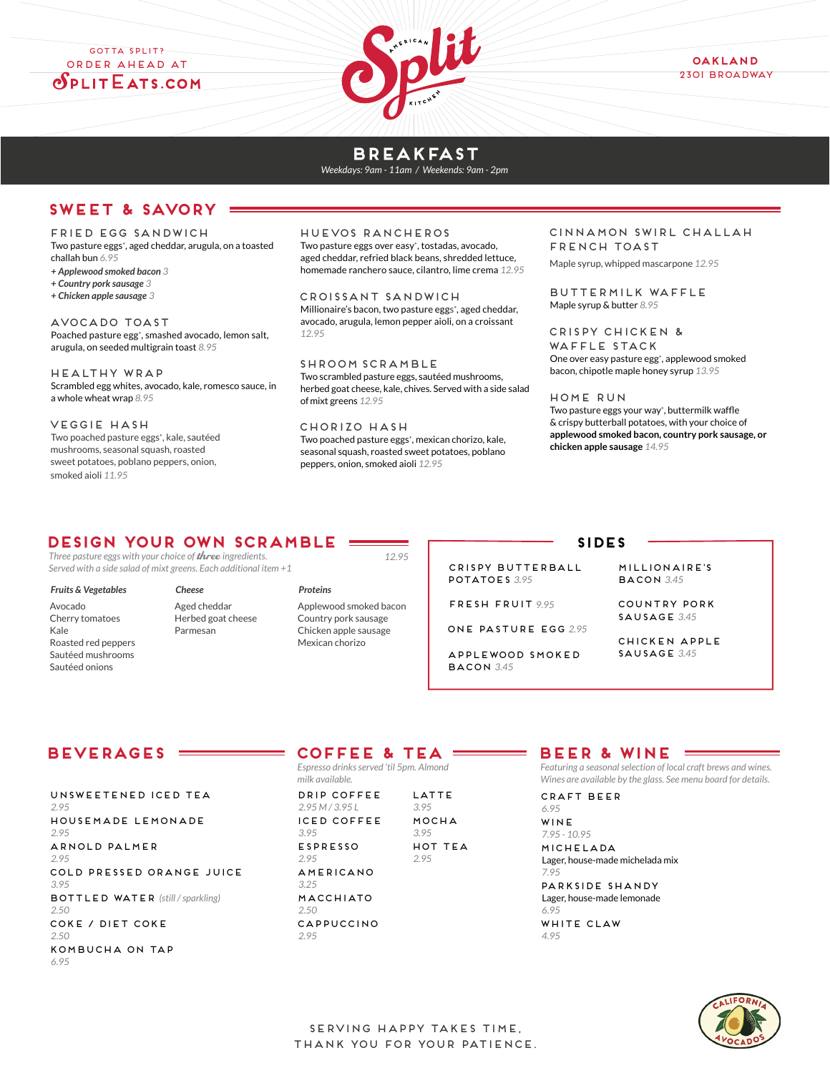GOTTA SPLIT? Order Ahead at  $\delta$ plit Eats.com



### **breakfast**

*Weekdays: 9am - 11am / Weekends: 9am - 2pm*

## **SWEET & SAVORY**

#### FRIED EGG SANDWICH

Two pasture eggs\*, aged cheddar, arugula, on a toasted challah bun *6.95*

- *+ Applewood smoked bacon 3*
- *+ Country pork sausage 3*
- *+ Chicken apple sausage 3*

AVOCADO TOAST Poached pasture egg<sup>+</sup>, smashed avocado, lemon salt, arugula, on seeded multigrain toast *8.95*

Healthy WRAP Scrambled egg whites, avocado, kale, romesco sauce, in a whole wheat wrap *8.95*

veggie HASH

Two poached pasture eggs\*, kale, sautéed mushrooms, seasonal squash, roasted sweet potatoes, poblano peppers, onion, smoked aioli *11.95* 

#### HUEVOS RANCHEROS

Two pasture eggs over easy\*, tostadas, avocado, aged cheddar, refried black beans, shredded lettuce, homemade ranchero sauce, cilantro, lime crema *12.95*

Croissant Sandwich Millionaire's bacon, two pasture eggs\*, aged cheddar, avocado, arugula, lemon pepper aioli, on a croissant *12.95*

SHroom scramble Two scrambled pasture eggs, sautéed mushrooms, herbed goat cheese, kale, chives. Served with a side salad of mixt greens *12.95*

CHORIZO HASH Two poached pasture eggs\*, mexican chorizo, kale, seasonal squash, roasted sweet potatoes, poblano peppers, onion, smoked aioli *12.95*

*12.95*

#### CINNAMON SWIRL CHALLAH FRENCH TOAST

Maple syrup, whipped mascarpone *12.95* 

BUTTERMILK Waffle Maple syrup & butter *8.95*

Crispy chicken & waffle stack One over easy pasture egg\*, applewood smoked bacon, chipotle maple honey syrup *13.95*

HOME RUN

Two pasture eggs your way\*, buttermilk waffle & crispy butterball potatoes, with your choice of **applewood smoked bacon, country pork sausage, or chicken apple sausage** *14.95*

## **Design your own SCRAMBLe**

*Three pasture eggs with your choice of* three *ingredients. Served with a side salad of mixt greens. Each additional item +1*

#### *Fruits & Vegetables*

Avocado Cherry tomatoes Kale Roasted red peppers Sautéed mushrooms Sautéed onions

*Cheese* Aged cheddar Herbed goat cheese Parmesan

#### *Proteins*

Applewood smoked bacon Country pork sausage Chicken apple sausage Mexican chorizo

**SIDES** CRISPY BUTTERBALL

POTATOES *3.95*

FRESH FRUIT *9.95*

ONE PASTURE EGG *2.95*

APPLEWOOD SMOKED BACOn *3.45*

MILLIONAIRE'S bacon *3.45* 

COUNTRY PORK SAUSAGE *3.45*

chicken apple sausage *3.45*

## **BEVERAGES**

UNSWEETENED ICED TEA *2.95* HOUSEMADE LEMONADE *2.95* ARNOLD PALMER *2.95* COLD PRESSED ORANGE JUICE *3.95* BOTTLED WATER *(still / sparkling) 2.50* COKE / DIET COKE *2.50* kombucha on tap *6.95*

## **COFFEE & TEA**

*Espresso drinks served 'til 5pm. Almond milk available.*

DRIP COFFEE *2.95 M / 3.95 L* ICED COFFEE *3.95* ESPRESSO *2.95* AMERICANO *3.25* MACCHIATO *2.50* CAPPUCCINO *2.95* LATTE *3.95* MOCHA *3.95* hOT TEA *2.95*

## **BEER & WINE**

*Featuring a seasonal selection of local craft brews and wines. Wines are available by the glass. See menu board for details.*

CRAFT BEER *6.95*

WINE *7.95 - 10.95*

michelada

Lager, house-made michelada mix *7.95*

parkside shandy Lager, house-made lemonade *6.95* WHITE CLAW

*4.95*

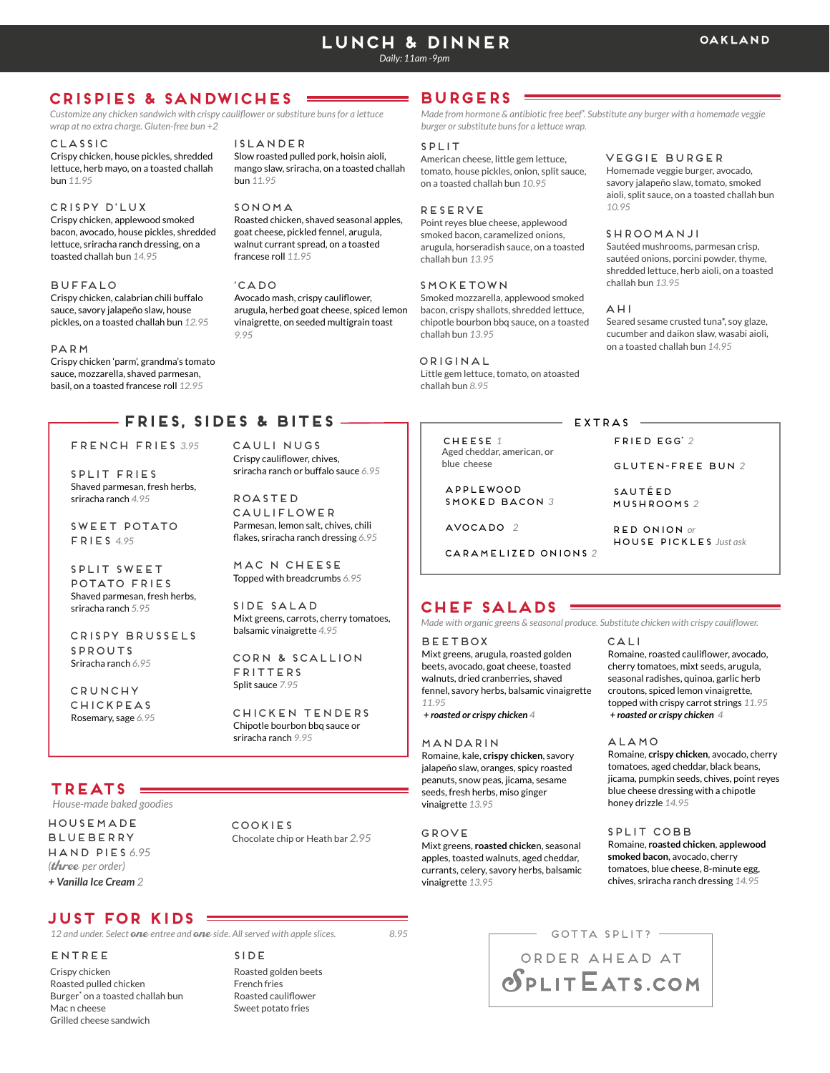# **LUNCH & DINNER**

*Daily: 11am -9pm*

## **CRISPIES & SANDWICHES**

*Customize any chicken sandwich with crispy cauliflower or substiture buns for a lettuce wrap at no extra charge. Gluten-free bun +2*

Islander

bun *11.95*

CLASSIC Crispy chicken, house pickles, shredded lettuce, herb mayo, on a toasted challah bun *11.95*

#### CRISPY D'LUX

Crispy chicken, applewood smoked bacon, avocado, house pickles, shredded lettuce, sriracha ranch dressing, on a toasted challah bun *14.95*

#### BUFFALO

Crispy chicken, calabrian chili buffalo sauce, savory jalapeño slaw, house pickles, on a toasted challah bun *12.95*

#### parm

Crispy chicken 'parm', grandma's tomato sauce, mozzarella, shaved parmesan, basil, on a toasted francese roll *12.95*

## **FRIES, SIDES & BITES**

*9.95* 

CAULI NUGS Crispy cauliflower, chives, sriracha ranch or buffalo sauce *6.95*

MAC N CHEESe Topped with breadcrumbs *6.95*

balsamic vinaigrette *4.95*

corn & scallion

Chicken tenders Chipotle bourbon bbq sauce or sriracha ranch *9.95*

Mixt greens, carrots, cherry tomatoes,

side Salad

fritters Split sauce *7.95*

ROASTED CAULIFLOWEr Parmesan, lemon salt, chives, chili flakes, sriracha ranch dressing *6.95*

french fries *3.95*

split fries Shaved parmesan, fresh herbs,

sweet potato fries *4.95*

sriracha ranch *4.95*

split sweet potato fries Shaved parmesan, fresh herbs, sriracha ranch *5.95*

Crispy brusselS sprouts Sriracha ranch *6.95*

CRUNCHY chickpeas Rosemary, sage *6.95*

## **TREATS**

*House-made baked goodies*

HOUSEMADE **BLUEBERRY** HAND PIES *6.95 (*three *per order) + Vanilla Ice Cream 2*

 COOKIES Chocolate chip or Heath bar *2.95*

## **JUST FOR KIDS**

*12 and under. Select* one *entree and* one *side. All served with apple slices.*

Crispy chicken Roasted pulled chicken Burger\* on a toasted challah bun Mac n cheese Grilled cheese sandwich

ENTREE

Roasted golden beets French fries Roasted cauliflower Sweet potato fries SIDE

### **BURGERS**

*Made from hormone & antibiotic free beef\*. Substitute any burger with a homemade veggie burger or substitute buns for a lettuce wrap.*

#### SPLIT

American cheese, little gem lettuce, tomato, house pickles, onion, split sauce, on a toasted challah bun *10.95*

#### RESERVE

Point reyes blue cheese, applewood smoked bacon, caramelized onions, arugula, horseradish sauce, on a toasted challah bun *13.95*

#### **SMOKETOWN**

Smoked mozzarella, applewood smoked bacon, crispy shallots, shredded lettuce, chipotle bourbon bbq sauce, on a toasted challah bun *13.95*

 ORIGINAL Little gem lettuce, tomato, on atoasted challah bun *8.95*

> CHEESE *1* Aged cheddar, american, or blue cheese

APPLEWOOD SMOKED BACON *3*

avocado *2*

CARAMELIZED ONIONS *2*

## **chef SALADS**

 *Made with organic greens & seasonal produce. Substitute chicken with crispy cauliflower.*

#### **BEETBOX**

Mixt greens, arugula, roasted golden beets, avocado, goat cheese, toasted walnuts, dried cranberries, shaved fennel, savory herbs, balsamic vinaigrette *11.95*

 *+ roasted or crispy chicken 4*

#### mANDARIN

Romaine, kale, **crispy chicken**, savory jalapeño slaw, oranges, spicy roasted peanuts, snow peas, jicama, sesame seeds, fresh herbs, miso ginger vinaigrette *13.95*

## GROVE

*8.95*

Mixt greens, **roasted chicke**n, seasonal apples, toasted walnuts, aged cheddar, currants, celery, savory herbs, balsamic vinaigrette *13.95*

#### veggie burger

Homemade veggie burger, avocado, savory jalapeño slaw, tomato, smoked aioli, split sauce, on a toasted challah bun *10.95*

#### Shroomanji

Sautéed mushrooms, parmesan crisp, sautéed onions, porcini powder, thyme, shredded lettuce, herb aioli, on a toasted challah bun *13.95*

#### Ahi

Seared sesame crusted tuna\*, soy glaze, cucumber and daikon slaw, wasabi aioli, on a toasted challah bun *14.95*

## EXTRAS -

fried EGG\* *2* 

Gluten-free bun *2*

SAUTÉEd MUSHROOMS *2*

 RED Onion *or* house pickles *Just ask*

CALI Romaine, roasted cauliflower, avocado,

cherry tomatoes, mixt seeds, arugula, seasonal radishes, quinoa, garlic herb croutons, spiced lemon vinaigrette, topped with crispy carrot strings *11.95 + roasted or crispy chicken 4*

#### ALAMO

Romaine, **crispy chicken**, avocado, cherry tomatoes, aged cheddar, black beans, jicama, pumpkin seeds, chives, point reyes blue cheese dressing with a chipotle honey drizzle *14.95*

#### SPLIT COBB Romaine, **roasted chicken**, **applewood smoked bacon**, avocado, cherry tomatoes, blue cheese, 8-minute egg, chives, sriracha ranch dressing *14.95*

## $-$  GOTTA SPLIT?  $-$ Order Ahead at **SPLITEATS.COM**

# mango slaw, sriracha, on a toasted challah

SONOMA Roasted chicken, shaved seasonal apples, goat cheese, pickled fennel, arugula, walnut currant spread, on a toasted francese roll *11.95*

 'CADO Avocado mash, crispy cauliflower, arugula, herbed goat cheese, spiced lemon vinaigrette, on seeded multigrain toast

Slow roasted pulled pork, hoisin aioli,

## **oakland**